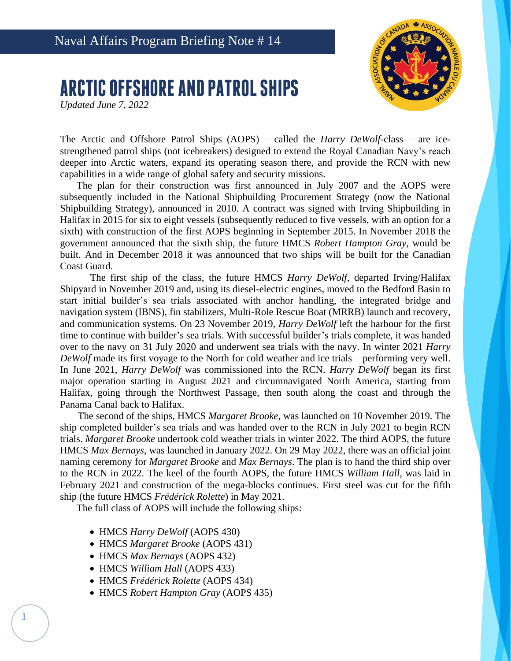

## **ARCTIC OFFSHORE AND PATROL SHIPS**

*Updated June 7, 2022*

The Arctic and Offshore Patrol Ships (AOPS) – called the *Harry DeWolf*-class – are icestrengthened patrol ships (not icebreakers) designed to extend the Royal Canadian Navy's reach deeper into Arctic waters, expand its operating season there, and provide the RCN with new capabilities in a wide range of global safety and security missions.

The plan for their construction was first announced in July 2007 and the AOPS were subsequently included in the National Shipbuilding Procurement Strategy (now the National Shipbuilding Strategy), announced in 2010. A contract was signed with Irving Shipbuilding in Halifax in 2015 for six to eight vessels (subsequently reduced to five vessels, with an option for a sixth) with construction of the first AOPS beginning in September 2015. In November 2018 the government announced that the sixth ship, the future HMCS *Robert Hampton Gray*, would be built. And in December 2018 it was announced that two ships will be built for the Canadian Coast Guard.

The first ship of the class, the future HMCS *Harry DeWolf*, departed Irving/Halifax Shipyard in November 2019 and, using its diesel-electric engines, moved to the Bedford Basin to start initial builder's sea trials associated with anchor handling, the integrated bridge and navigation system (IBNS), fin stabilizers, Multi-Role Rescue Boat (MRRB) launch and recovery, and communication systems. On 23 November 2019, *Harry DeWolf* left the harbour for the first time to continue with builder's sea trials. With successful builder's trials complete, it was handed over to the navy on 31 July 2020 and underwent sea trials with the navy. In winter 2021 *Harry DeWolf* made its first voyage to the North for cold weather and ice trials – performing very well. In June 2021, *Harry DeWolf* was commissioned into the RCN. *Harry DeWolf* began its first major operation starting in August 2021 and circumnavigated North America, starting from Halifax, going through the Northwest Passage, then south along the coast and through the Panama Canal back to Halifax.

The second of the ships, HMCS *Margaret Brooke*, was launched on 10 November 2019. The ship completed builder's sea trials and was handed over to the RCN in July 2021 to begin RCN trials. *Margaret Brooke* undertook cold weather trials in winter 2022. The third AOPS, the future HMCS *Max Bernays*, was launched in January 2022. On 29 May 2022, there was an official joint naming ceremony for *Margaret Brooke* and *Max Bernays*. The plan is to hand the third ship over to the RCN in 2022. The keel of the fourth AOPS, the future HMCS *William Hall*, was laid in February 2021 and construction of the mega-blocks continues. First steel was cut for the fifth ship (the future HMCS *Frédérick Rolette*) in May 2021.

The full class of AOPS will include the following ships:

- HMCS *Harry DeWolf* (AOPS 430)
- HMCS *Margaret Brooke* (AOPS 431)
- HMCS *Max Bernays* (AOPS 432)
- HMCS *William Hall* (AOPS 433)

1

- HMCS *Frédérick Rolette* (AOPS 434)
- HMCS *Robert Hampton Gray* (AOPS 435)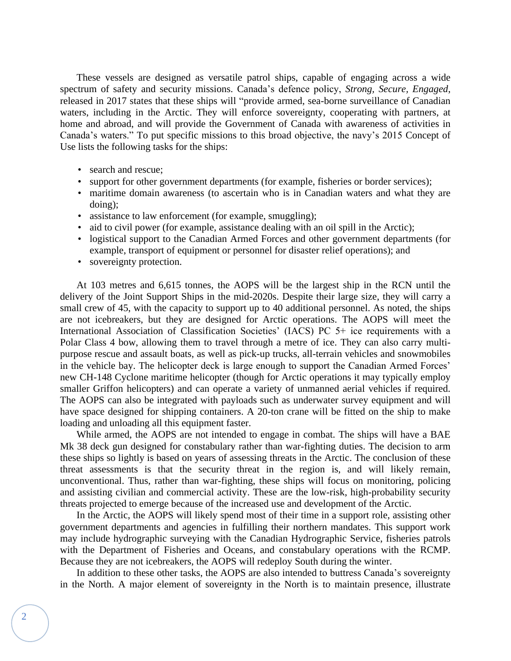These vessels are designed as versatile patrol ships, capable of engaging across a wide spectrum of safety and security missions. Canada's defence policy, *Strong, Secure, Engaged*, released in 2017 states that these ships will "provide armed, sea-borne surveillance of Canadian waters, including in the Arctic. They will enforce sovereignty, cooperating with partners, at home and abroad, and will provide the Government of Canada with awareness of activities in Canada's waters." To put specific missions to this broad objective, the navy's 2015 Concept of Use lists the following tasks for the ships:

- search and rescue;
- support for other government departments (for example, fisheries or border services);
- maritime domain awareness (to ascertain who is in Canadian waters and what they are doing);
- assistance to law enforcement (for example, smuggling);
- aid to civil power (for example, assistance dealing with an oil spill in the Arctic);
- logistical support to the Canadian Armed Forces and other government departments (for example, transport of equipment or personnel for disaster relief operations); and
- sovereignty protection.

At 103 metres and 6,615 tonnes, the AOPS will be the largest ship in the RCN until the delivery of the Joint Support Ships in the mid-2020s. Despite their large size, they will carry a small crew of 45, with the capacity to support up to 40 additional personnel. As noted, the ships are not icebreakers, but they are designed for Arctic operations. The AOPS will meet the International Association of Classification Societies' (IACS) PC 5+ ice requirements with a Polar Class 4 bow, allowing them to travel through a metre of ice. They can also carry multipurpose rescue and assault boats, as well as pick-up trucks, all-terrain vehicles and snowmobiles in the vehicle bay. The helicopter deck is large enough to support the Canadian Armed Forces' new CH-148 Cyclone maritime helicopter (though for Arctic operations it may typically employ smaller Griffon helicopters) and can operate a variety of unmanned aerial vehicles if required. The AOPS can also be integrated with payloads such as underwater survey equipment and will have space designed for shipping containers. A 20-ton crane will be fitted on the ship to make loading and unloading all this equipment faster.

While armed, the AOPS are not intended to engage in combat. The ships will have a BAE Mk 38 deck gun designed for constabulary rather than war-fighting duties. The decision to arm these ships so lightly is based on years of assessing threats in the Arctic. The conclusion of these threat assessments is that the security threat in the region is, and will likely remain, unconventional. Thus, rather than war-fighting, these ships will focus on monitoring, policing and assisting civilian and commercial activity. These are the low-risk, high-probability security threats projected to emerge because of the increased use and development of the Arctic.

In the Arctic, the AOPS will likely spend most of their time in a support role, assisting other government departments and agencies in fulfilling their northern mandates. This support work may include hydrographic surveying with the Canadian Hydrographic Service, fisheries patrols with the Department of Fisheries and Oceans, and constabulary operations with the RCMP. Because they are not icebreakers, the AOPS will redeploy South during the winter.

In addition to these other tasks, the AOPS are also intended to buttress Canada's sovereignty in the North. A major element of sovereignty in the North is to maintain presence, illustrate